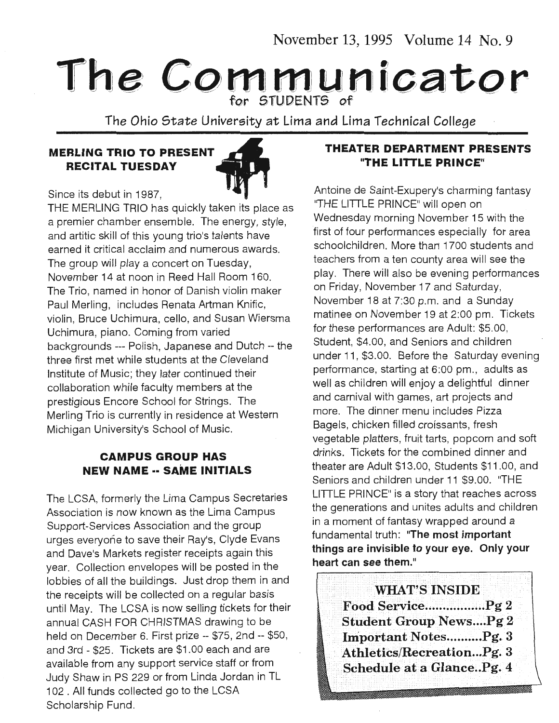November 13, 1995 Volume 14 No. 9

# The Communicator

The Ohio State University at Lima and Lima Technical College

#### **MERLING TRIO TO PRESENT RECITAL TUESDAY**



Since its debut in 1987,

THE MERLING TRIO has quickly taken its place as a premier chamber ensemble. The energy, style, and artitic skill of this young trio's talents have earned it critical acclaim and numerous awards. The group will play a concert on Tuesday, November 14 at noon in Reed Hall Room 160. The Trio, named in honor of Danish violin maker Paul Merling, includes Renata Artman Knific, violin, Bruce Uchimura, cello, and Susan Wiersma Uchimura, piano. Coming from varied backgrounds --- Polish, Japanese and Dutch -- the three first met while students at the Cleveland Institute of Music; they later continued their collaboration while faculty members at the prestigious Encore School for Strings. The Merling Trio is currently in residence at Western Michigan University's School of Music.

#### **CAMPUS GROUP HAS NEW NAME·· SAME INITIALS**

The LCSA, formerly the Lima Campus Secretaries Association is now known as the Lima Campus Support-Services Association and the group urges everyone to save their Ray's, Clyde Evans and Dave's Markets register receipts again this year. Collection envelopes will be posted in the lobbies of all the buildings. Just drop them in and the receipts will be collected on a regular basis until May. The LCSA is now selling tickets for their annual CASH FOR CHRISTMAS drawing to be held on December 6. First prize -- \$75, 2nd -- \$50, and 3rd - \$25. Tickets are \$1.00 each and are available from any support service staff or from Judy Shaw in PS 229 or from Linda Jordan in TL 102 . All funds collected go to the LCSA Scholarship Fund.

#### **THEATER DEPARTMENT PRESENTS "THE LITTLE PRINCE"**

Antoine de Saint-Exupery's charming fantasy "THE UTILE PRINCE" will open on Wednesday morning November 15 with the first of four performances especially for area schoolchildren. More than 1700 students and teachers from a ten county area will see the play. There will also be evening performances on Friday, November 17 and Saturday, November 18 at 7:30 p.m. and a Sunday matinee on November 19 at 2:00 pm. Tickets for these performances are Adult: \$5.00, Student, \$4.00, and Seniors and children under 11, \$3.00. Before the Saturday evening performance, starting at 6:00 pm., adults as well as children will enjoy a delightful dinner and carnival with games, art projects and more. The dinner menu includes Pizza Bagels, chicken filled croissants, fresh vegetable platters, fruit tarts, popcorn and soft drinks. Tickets for the combined dinner and theater are Adult \$13.00, Students \$11 .00, and Seniors and children under 11 \$9.00. "THE UTILE PRINCE" is a story that reaches across the generations and unites adults and children in a moment of fantasy wrapped around a fundamental truth: "The most important things are invisible to your eye. Only your heart can see them."

> WHAT'S INSIDE Food Service................... Pg 2 Student Group News....Pg 2 Important Notes..........Pg. 3 Athletics/Recreation ... Pg. 3 Schedule at a Glance..Pg. 4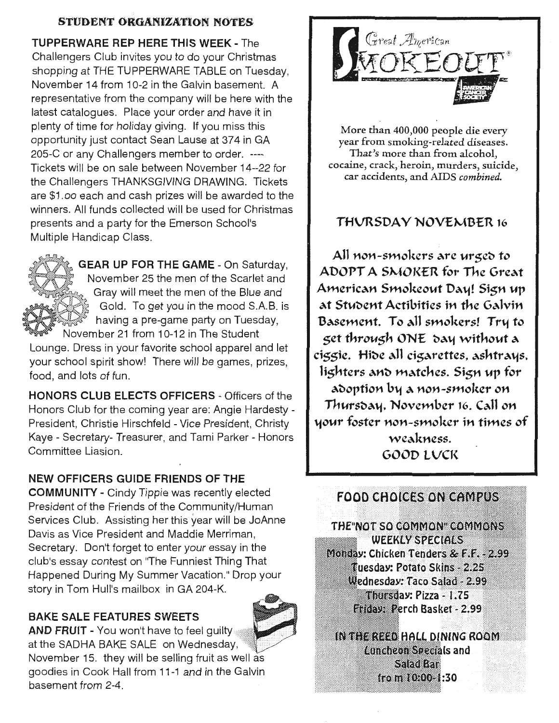### STUDENT ORGANIZATION NOTES

TUPPERWARE REP HERE THIS WEEK - The Challengers Club invites you to do your Christmas shopping at THE TUPPERWARE TABLE on Tuesday, November 14 from 10-2 in the Galvin basement. A representative from the company will be here with the latest catalogues. Place your order and have it in plenty of time for holiday giving. If you miss this opportunity just contact Sean Lause at 374 in GA 205-C or any Challengers member to order. ---- Tickets will be on sale between November 14--22 for the Challengers THANKSGIVING DRAWING. Tickets are \$1 .oo each and cash prizes will be awarded to the winners. All funds collected will be used for Christmas presents and a party for the Emerson School's Multiple Handicap Class.



**GEAR UP FOR THE GAME - On Saturday.** November 25 the men of the Scarlet and Gray will meet the men of the Blue and Gold. To get you in the mood S.A.B. is having a pre-game party on Tuesday, November 21 from 10-12 in The Student

Lounge. Dress in your favorite school apparel and let your school spirit show! There will be games, prizes, food, and lots of fun.

HONORS CLUB ELECTS OFFICERS - Officers of the Honors Club for the coming year are: Angie Hardesty - President, Christie Hirschfeld - Vice President, Christy Kaye - Secretary- Treasurer, and Tami Parker - Honors Committee Liasion.

#### NEW OFFICERS GUIDE FRIENDS OF THE

COMMUNITY - Cindy Tippie was recently elected President of the Friends of the Community/Human Services Club. Assisting her this year will be JoAnne Davis as Vice President and Maddie Merriman, Secretary. Don't forget to enter your essay in the club's essay contest on "The Funniest Thing That Happened During My Summer Vacation." Drop your story in Tom Hull's mailbox in GA 204-K.

#### BAKE SALE FEATURES SWEETS





More than 400,000 people die every year from smoking-related diseases. That's more than from alcohol, cocaine, crack, heroin, murders, suicide, car accidents, and AIDS *combined.* 

#### THURSDAY NOVEMBER 16

All non-smokers are urged to ADOPT A SMOKER for The Great American Smokeout Day! Sign up at Student Actibities in the Galvin Basement. To all smokers! Tru to 5et through ONE day without a ciggie. Hide all cigarettes, ashtrays, lighters and matches. Sign up for adoption by a non-smoker on Thursday, November 16. Call on your foster non-smoker in times of weakness. GOOD LVCl\

#### **FOOD CHOICES ON CAMPUS**

THE NOT SO COMMON COMMONS **WEEKLY SPECIALS** Monday: Chicken Tenders & F.F. - 2.99 Tuesday: Potato Skins - 2.25 Wednesday: Taco Salad - 2.99 Thursday: Pizza - 1.75 Eriday: Perch Basket - 2.99

IN THE REED HALL DINING ROOM **Luncheon Specials and** Saadkar from 10:00-1:30

:::::::::::;:::::::::: ···::··:··:•.·.•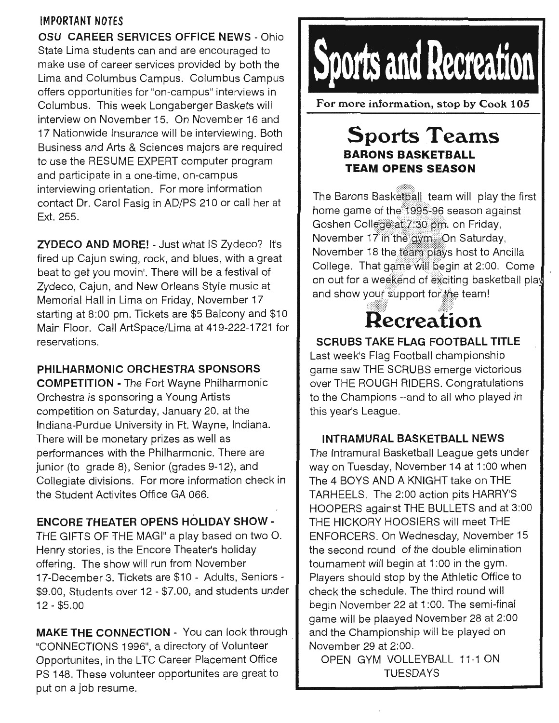#### IMPORTANT NOTES

OSU CAREER SERVICES OFFICE NEWS - Ohio State Lima students can and are encouraged to make use of career services provided by both the Lima and Columbus Campus. Columbus Campus offers opportunities for "on-campus" interviews in Columbus. This week Longaberger Baskets will interview on November 15. On November 16 and 17 Nationwide Insurance will be interviewing. Both Business and Arts & Sciences majors are required to use the RESUME EXPERT computer program and participate in a one-time, on-campus interviewing orientation. For more information contact Dr. Carol Fasig in AD/PS 210 or call her at Ext. 255.

ZVDECO AND MORE! - Just what IS Zydeco? It's fired up Cajun swing, rock, and blues, with a great beat to get you movin'. There will be a festival of Zydeco, Cajun, and New Orleans Style music at Memorial Hall in Lima on Friday, November 17 starting at 8:00 pm. Tickets are \$5 Balcony and \$10 Main Floor. Call ArtSpace/Lima at 419-222-1721 for reservations.

#### PHILHARMONIC ORCHESTRA SPONSORS

COMPETITION - The Fort Wayne Philharmonic Orchestra is sponsoring a Young Artists competition on Saturday, January 20. at the Indiana-Purdue University in Ft. Wayne, Indiana. There will be monetary prizes as well as performances with the Philharmonic. There are junior (to grade 8), Senior (grades 9-12), and Collegiate divisions. For more information check in the Student Activites Office GA 066.

#### ENCORE THEATER OPENS HOLIDAY SHOW -

THE GIFTS OF THE MAGI" a play based on two 0. Henry stories, is the Encore Theater's holiday offering. The show will run from November 17-December 3. Tickets are \$10 - Adults, Seniors - \$9.00, Students over 12 - \$7.00, and students under 12 - \$5.00

MAKE THE CONNECTION - You can look through "CONNECTIONS 1996", a directory of Volunteer Opportunites, in the LTC Career Placement Office PS 148. These volunteer opportunites are great to put on a job resume.



For more information, stop by Cook 105

#### Sports Teams BARONS BASKETBALL TEAM OPENS SEASON

The Barons Basketball team will play the first home game of the 1995-96 season against Goshen College at 7:30 pm, on Friday, November 17 in the avm. On Saturday. November 18 the team plays host to Ancilla College. That game will begin at 2:00. Come on out for a weekend of exciting basketball play and show your support for the team!

## Recreation

#### SCRUBS TAKE FLAG FOOTBALL TITLE

Last week's Flag Football championship game saw THE SCRUBS emerge victorious over THE ROUGH RIDERS. Congratulations to the Champions --and to all who played in this year's League.

#### INTRAMURAL BASKETBALL NEWS

The Intramural Basketball League gets under way on Tuesday, November 14 at 1 :OO when The 4 BOYS AND A KNIGHT take on THE TARHEELS. The 2:00 action pits HARRY'S HOOPERS against THE BULLETS and at 3:00 THE HICKORY HOOSIERS will meet THE ENFORCERS. On Wednesday, November 15 the second round of the double elimination tournament will begin at 1 :OO in the gym. Players should stop by the Athletic Office to check the schedule. The third round will begin November 22 at 1 :OO. The semi-final game will be plaayed November 28 at 2:00 and the Championship will be played on November 29 at 2:00.

OPEN GYM VOLLEYBALL 11-1 ON TUESDAYS